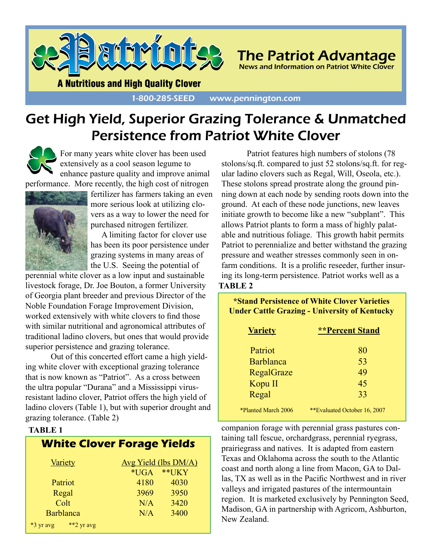

The Patriot Advantage News and Information on Patriot White Clover

**A Nutritious and High Quality Clover** 

#### 1-800-285-SEED www.pennington.com

### Get High Yield, Superior Grazing Tolerance & Unmatched Persistence from Patriot White Clover

For many years white clover has been used extensively as a cool season legume to enhance pasture quality and improve animal

performance. More recently, the high cost of nitrogen



fertilizer has farmers taking an even more serious look at utilizing clovers as a way to lower the need for purchased nitrogen fertilizer.

A limiting factor for clover use has been its poor persistence under grazing systems in many areas of the U.S. Seeing the potential of

perennial white clover as a low input and sustainable livestock forage, Dr. Joe Bouton, a former University of Georgia plant breeder and previous Director of the Noble Foundation Forage Improvement Division, worked extensively with white clovers to find those with similar nutritional and agronomical attributes of traditional ladino clovers, but ones that would provide superior persistence and grazing tolerance.

Out of this concerted effort came a high yielding white clover with exceptional grazing tolerance that is now known as "Patriot". As a cross between the ultra popular "Durana" and a Mississippi virusresistant ladino clover, Patriot offers the high yield of ladino clovers (Table 1), but with superior drought and grazing tolerance. (Table 2)

#### **TABLE 1**

| <b>White Clover Forage Yields</b> |                      |       |
|-----------------------------------|----------------------|-------|
| <b>Variety</b>                    | Avg Yield (lbs DM/A) |       |
|                                   | $*UGA$               | **UKY |
| Patriot                           | 4180                 | 4030  |
| Regal                             | 3969                 | 3950  |
| Colt                              | N/A                  | 3420  |
| Barblanca                         | N/A                  | 3400  |
| **2 yr avg<br>*3 yr avg           |                      |       |

Patriot features high numbers of stolons (78 stolons/sq.ft. compared to just 52 stolons/sq.ft. for regular ladino clovers such as Regal, Will, Oseola, etc.). These stolons spread prostrate along the ground pinning down at each node by sending roots down into the ground. At each of these node junctions, new leaves initiate growth to become like a new "subplant". This allows Patriot plants to form a mass of highly palatable and nutritious foliage. This growth habit permits Patriot to perennialize and better withstand the grazing pressure and weather stresses commonly seen in onfarm conditions. It is a prolific reseeder, further insuring its long-term persistence. Patriot works well as a **TABLE 2**

| *Stand Persistence of White Clover Varieties<br><b>Under Cattle Grazing - University of Kentucky</b> |                              |  |  |
|------------------------------------------------------------------------------------------------------|------------------------------|--|--|
| <b>Variety</b>                                                                                       | <b>**Percent Stand</b>       |  |  |
| Patriot                                                                                              | 80                           |  |  |
| <b>Barblanca</b>                                                                                     | 53                           |  |  |
| RegalGraze                                                                                           | 49                           |  |  |
| Kopu II                                                                                              | 45                           |  |  |
| Regal                                                                                                | 33                           |  |  |
| *Planted March 2006                                                                                  | **Evaluated October 16, 2007 |  |  |

companion forage with perennial grass pastures containing tall fescue, orchardgrass, perennial ryegrass, prairiegrass and natives. It is adapted from eastern Texas and Oklahoma across the south to the Atlantic coast and north along a line from Macon, GA to Dallas, TX as well as in the Pacific Northwest and in river valleys and irrigated pastures of the intermountain region. It is marketed exclusively by Pennington Seed, Madison, GA in partnership with Agricom, Ashburton, New Zealand.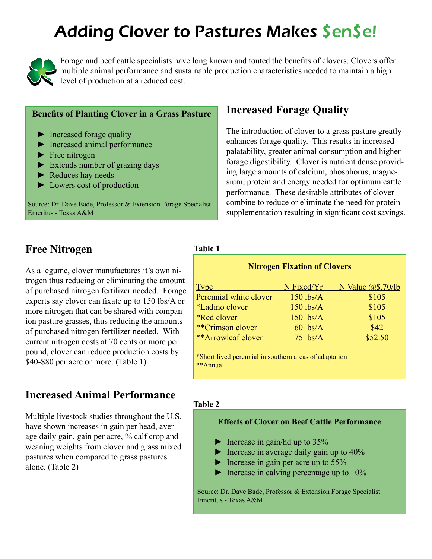## Adding Clover to Pastures Makes \$en\$e!



Forage and beef cattle specialists have long known and touted the benefits of clovers. Clovers offer multiple animal performance and sustainable production characteristics needed to maintain a high level of production at a reduced cost.

#### **Benefits of Planting Clover in a Grass Pasture**

- ► Increased forage quality
- ► Increased animal performance
- ► Free nitrogen
- ► Extends number of grazing days
- ► Reduces hay needs
- ► Lowers cost of production

Source: Dr. Dave Bade, Professor & Extension Forage Specialist Emeritus - Texas A&M

#### **Free Nitrogen**

As a legume, clover manufactures it's own nitrogen thus reducing or eliminating the amount of purchased nitrogen fertilizer needed. Forage experts say clover can fixate up to 150 lbs/A or more nitrogen that can be shared with companion pasture grasses, thus reducing the amounts of purchased nitrogen fertilizer needed. With current nitrogen costs at 70 cents or more per pound, clover can reduce production costs by \$40-\$80 per acre or more. (Table 1)

#### **Increased Animal Performance**

Multiple livestock studies throughout the U.S. have shown increases in gain per head, average daily gain, gain per acre, % calf crop and weaning weights from clover and grass mixed pastures when compared to grass pastures alone. (Table 2)

#### **Increased Forage Quality**

The introduction of clover to a grass pasture greatly enhances forage quality. This results in increased palatability, greater animal consumption and higher forage digestibility. Clover is nutrient dense providing large amounts of calcium, phosphorus, magnesium, protein and energy needed for optimum cattle performance. These desirable attributes of clover combine to reduce or eliminate the need for protein supplementation resulting in significant cost savings.

#### **Table 1**

| <u>Type</u>               | N Fixed/Yr  | <u>N Value @\$.70/lb</u> |
|---------------------------|-------------|--------------------------|
| Perennial white clover    | $150$ lbs/A | \$105                    |
| <i>*Ladino clover</i>     | $150$ lbs/A | \$105                    |
| <i><b>*Red clover</b></i> | $150$ lbs/A | \$105                    |
| **Crimson clover          | $60$ lbs/A  | \$42                     |
| **Arrowleaf clover        | $75$ lbs/A  | \$52.50                  |

#### **Table 2**

#### **Effects of Clover on Beef Cattle Performance**

- $\blacktriangleright$  Increase in gain/hd up to 35%
- $\blacktriangleright$  Increase in average daily gain up to 40%
- $\blacktriangleright$  Increase in gain per acre up to 55%
- $\blacktriangleright$  Increase in calving percentage up to 10%

Source: Dr. Dave Bade, Professor & Extension Forage Specialist Emeritus - Texas A&M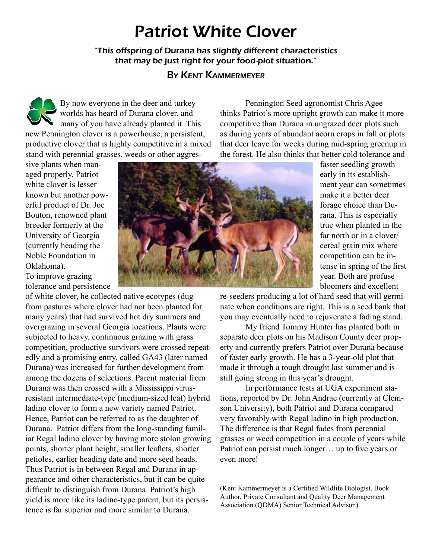### Patriot White Clover

"This offspring of Durana has slightly different characteristics that may be just right for your food-plot situation."

#### By Kent Kammermeyer

By now everyone in the deer and turkey worlds has heard of Durana clover, and many of you have already planted it. This new Pennington clover is a powerhouse; a persistent, productive clover that is highly competitive in a mixed stand with perennial grasses, weeds or other aggres-

Pennington Seed agronomist Chris Agee thinks Patriot's more upright growth can make it more competitive than Durana in ungrazed deer plots such as during years of abundant acorn crops in fall or plots that deer leave for weeks during mid-spring greenup in the forest. He also thinks that better cold tolerance and

sive plants when managed properly. Patriot white clover is lesser known but another powerful product of Dr. Joe Bouton, renowned plant breeder formerly at the University of Georgia (currently heading the Noble Foundation in Oklahoma). To improve grazing tolerance and persistence

of white clover, he collected native ecotypes (dug from pastures where clover had not been planted for many years) that had survived hot dry summers and overgrazing in several Georgia locations. Plants were subjected to heavy, continuous grazing with grass competition, productive survivors were crossed repeatedly and a promising entry, called GA43 (later named Durana) was increased for further development from among the dozens of selections. Parent material from Durana was then crossed with a Mississippi virusresistant intermediate-type (medium-sized leaf) hybrid ladino clover to form a new variety named Patriot. Hence, Patriot can be referred to as the daughter of Durana. Patriot differs from the long-standing familiar Regal ladino clover by having more stolon growing points, shorter plant height, smaller leaflets, shorter petioles, earlier heading date and more seed heads. Thus Patriot is in between Regal and Durana in appearance and other characteristics, but it can be quite difficult to distinguish from Durana. Patriot's high yield is more like its ladino-type parent, but its persistence is far superior and more similar to Durana.



faster seedling growth early in its establishment year can sometimes make it a better deer forage choice than Durana. This is especially true when planted in the far north or in a clover/ cereal grain mix where competition can be intense in spring of the first year. Both are profuse bloomers and excellent

re-seeders producing a lot of hard seed that will germinate when conditions are right. This is a seed bank that you may eventually need to rejuvenate a fading stand.

My friend Tommy Hunter has planted both in separate deer plots on his Madison County deer property and currently prefers Patriot over Durana because of faster early growth. He has a 3-year-old plot that made it through a tough drought last summer and is still going strong in this year's drought.

In performance tests at UGA experiment stations, reported by Dr. John Andrae (currently at Clemson University), both Patriot and Durana compared very favorably with Regal ladino in high production. The difference is that Regal fades from perennial grasses or weed competition in a couple of years while Patriot can persist much longer… up to five years or even more!

(Kent Kammermeyer is a Certified Wildlife Biologist, Book Author, Private Consultant and Quality Deer Management Association (QDMA) Senior Technical Advisor.)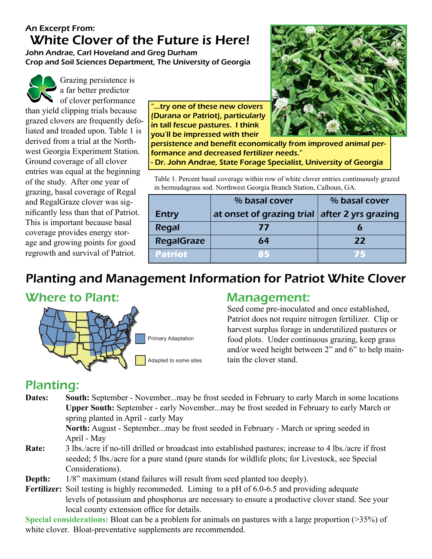#### An Excerpt From: White Clover of the Future is Here!

John Andrae, Carl Hoveland and Greg Durham Crop and Soil Sciences Department, The University of Georgia



Grazing persistence is a far better predictor  $\bullet$  of clover performance

than yield clipping trials because grazed clovers are frequently defoliated and treaded upon. Table 1 is derived from a trial at the Northwest Georgia Experiment Station. Ground coverage of all clover entries was equal at the beginning of the study. After one year of grazing, basal coverage of Regal and RegalGraze clover was significantly less than that of Patriot. This is important because basal coverage provides energy storage and growing points for good regrowth and survival of Patriot.

"...try one of these new clovers (Durana or Patriot), particularly in tall fescue pastures. I think you'll be impressed with their



persistence and benefit economically from improved animal performance and decreased fertilizer needs." - Dr. John Andrae, State Forage Specialist, University of Georgia

Table 1. Percent basal coverage within row of white clover entries continuously grazed in bermudagrass sod. Northwest Georgia Branch Station, Calhoun, GA.

|                   | % basal cover                                 | % basal cover |  |  |
|-------------------|-----------------------------------------------|---------------|--|--|
| <b>Entry</b>      | at onset of grazing trial after 2 yrs grazing |               |  |  |
| <b>Regal</b>      | 77                                            |               |  |  |
| <b>RegalGraze</b> | 64                                            | 22            |  |  |
| <b>Patriot</b>    | 85                                            |               |  |  |

### Planting and Management Information for Patriot White Clover

### Where to Plant: Management:



Primary Adaptation

Adapted to some sites

Seed come pre-inoculated and once established, Patriot does not require nitrogen fertilizer. Clip or harvest surplus forage in underutilized pastures or food plots. Under continuous grazing, keep grass and/or weed height between 2" and 6" to help maintain the clover stand.

### Planting:

**Dates: South:** September - November...may be frost seeded in February to early March in some locations **Upper South:** September - early November...may be frost seeded in February to early March or spring planted in April - early May

**North:** August - September...may be frost seeded in February - March or spring seeded in April - May

- **Rate:** 3 lbs./acre if no-till drilled or broadcast into established pastures; increase to 4 lbs./acre if frost seeded; 5 lbs./acre for a pure stand (pure stands for wildlife plots; for Livestock, see Special Considerations).
- **Depth:** 1/8" maximum (stand failures will result from seed planted too deeply).
- Fertilizer: Soil testing is highly recommeded. Liming to a pH of 6.0-6.5 and providing adequate levels of potassium and phosphorus are necessary to ensure a productive clover stand. See your local county extension office for details.

**Special considerations:** Bloat can be a problem for animals on pastures with a large proportion (>35%) of white clover. Bloat-preventative supplements are recommended.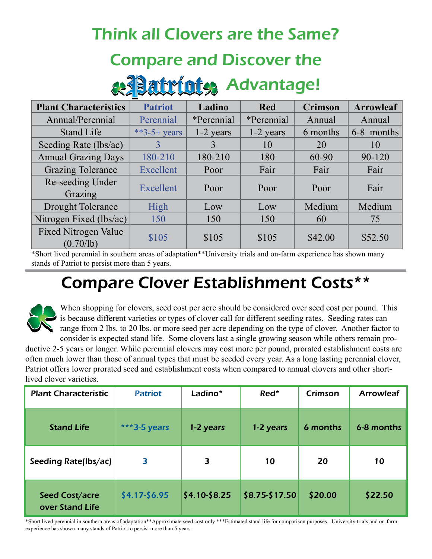### Think all Clovers are the Same?

### Compare and Discover the

# & Patriots Advantage!

| <b>Plant Characteristics</b>             | <b>Patriot</b> | Ladino            | <b>Red</b>        | <b>Crimson</b> | <b>Arrowleaf</b> |
|------------------------------------------|----------------|-------------------|-------------------|----------------|------------------|
| Annual/Perennial                         | Perennial      | <i>*Perennial</i> | <i>*Perennial</i> | Annual         | Annual           |
| <b>Stand Life</b>                        | **3-5+ years   | 1-2 years         | 1-2 years         | 6 months       | 6-8 months       |
| Seeding Rate (lbs/ac)                    | 3              | $\mathbf{3}$      | 10                | 20             | 10               |
| <b>Annual Grazing Days</b>               | 180-210        | 180-210           | 180               | 60-90          | 90-120           |
| <b>Grazing Tolerance</b>                 | Excellent      | Poor              | Fair              | Fair           | Fair             |
| Re-seeding Under<br>Grazing              | Excellent      | Poor              | Poor              | Poor           | Fair             |
| <b>Drought Tolerance</b>                 | High           | Low               | Low               | Medium         | Medium           |
| Nitrogen Fixed (lbs/ac)                  | 150            | 150               | 150               | 60             | 75               |
| <b>Fixed Nitrogen Value</b><br>(0.70/lb) | \$105          | \$105             | \$105             | \$42.00        | \$52.50          |

\*Short lived perennial in southern areas of adaptation\*\*University trials and on-farm experience has shown many stands of Patriot to persist more than 5 years.

## Compare Clover Establishment Costs\*\*



When shopping for clovers, seed cost per acre should be considered over seed cost per pound. This is because different varieties or types of clover call for different seeding rates. Seeding rates can range from 2 lbs. to 20 lbs. or more seed per acre depending on the type of clover. Another factor to consider is expected stand life. Some clovers last a single growing season while others remain pro-

ductive 2-5 years or longer. While perennial clovers may cost more per pound, prorated establishment costs are often much lower than those of annual types that must be seeded every year. As a long lasting perennial clover, Patriot offers lower prorated seed and establishment costs when compared to annual clovers and other shortlived clover varieties.

| <b>Plant Characteristic</b>              | <b>Patriot</b>  | Ladino*       | Red*           | Crimson  | <b>Arrowleaf</b> |
|------------------------------------------|-----------------|---------------|----------------|----------|------------------|
| <b>Stand Life</b>                        | *** 3-5 years   | 1-2 years     | 1-2 years      | 6 months | 6-8 months       |
| Seeding Rate(lbs/ac)                     | 3               | 3             | 10             | 20       | 10               |
| <b>Seed Cost/acre</b><br>over Stand Life | $$4.17 - $6.95$ | \$4.10-\$8.25 | \$8.75-\$17.50 | \$20.00  | \$22.50          |

\*Short lived perennial in southern areas of adaptation\*\*Approximate seed cost only \*\*\*Estimated stand life for comparison purposes - University trials and on-farm experience has shown many stands of Patriot to persist more than 5 years.